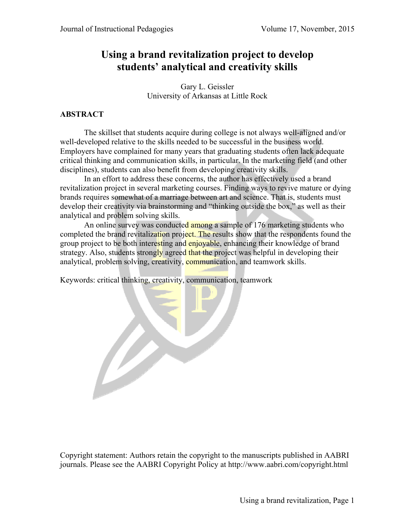# **Using a brand revitalization project to develop students' analytical and creativity skills**

Gary L. Geissler University of Arkansas at Little Rock

## **ABSTRACT**

The skillset that students acquire during college is not always well-aligned and/or well-developed relative to the skills needed to be successful in the business world. Employers have complained for many years that graduating students often lack adequate critical thinking and communication skills, in particular. In the marketing field (and other disciplines), students can also benefit from developing creativity skills.

 In an effort to address these concerns, the author has effectively used a brand revitalization project in several marketing courses. Finding ways to revive mature or dying brands requires somewhat of a marriage between art and science. That is, students must develop their creativity via brainstorming and "thinking outside the box," as well as their analytical and problem solving skills.

An online survey was conducted among a sample of 176 marketing students who completed the brand revitalization project. The results show that the respondents found the group project to be both interesting and enjoyable, enhancing their knowledge of brand strategy. Also, students strongly agreed that the project was helpful in developing their analytical, problem solving, creativity, communication, and teamwork skills.

Keywords: critical thinking, creativity, communication, teamwork

B

Copyright statement: Authors retain the copyright to the manuscripts published in AABRI journals. Please see the AABRI Copyright Policy at http://www.aabri.com/copyright.html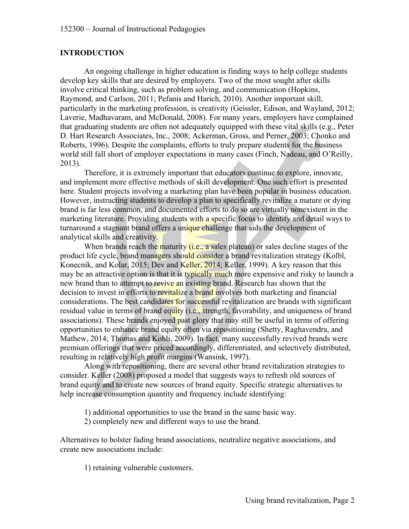### **INTRODUCTION**

An ongoing challenge in higher education is finding ways to help college students develop key skills that are desired by employers. Two of the most sought after skills involve critical thinking, such as problem solving, and communication (Hopkins, Raymond, and Carlson, 2011; Pefanis and Harich, 2010). Another important skill, particularly in the marketing profession, is creativity (Geissler, Edison, and Wayland, 2012; Laverie, Madhavaram, and McDonald, 2008). For many years, employers have complained that graduating students are often not adequately equipped with these vital skills (e.g., Peter D. Hart Research Associates, Inc., 2008; Ackerman, Gross, and Perner, 2003; Chonko and Roberts, 1996). Despite the complaints, efforts to truly prepare students for the business world still fall short of employer expectations in many cases (Finch, Nadeau, and O'Reilly, 2013).

 Therefore, it is extremely important that educators continue to explore, innovate, and implement more effective methods of skill development. One such effort is presented here. Student projects involving a marketing plan have been popular in business education. However, instructing students to develop a plan to specifically revitalize a mature or dying brand is far less common, and documented efforts to do so are virtually nonexistent in the marketing literature. Providing students with a specific focus to identify and detail ways to turnaround a stagnant brand offers a unique challenge that aids the development of analytical skills and creativity.

When brands reach the maturity  $(i.e., a sales plateau)$  or sales decline stages of the product life cycle, brand managers should consider a brand revitalization strategy (Kolbl, Konecnik, and Kolar, 2015; Dev and Keller, 2014; Keller, 1999). A key reason that this may be an attractive option is that it is typically much more expensive and risky to launch a new brand than to attempt to revive an existing brand. Research has shown that the decision to invest in efforts to revitalize a brand involves both marketing and financial considerations. The best candidates for successful revitalization are brands with significant residual value in terms of brand equity (i.e., strength, favorability, and uniqueness of brand associations). These brands enjoyed past glory that may still be useful in terms of offering opportunities to enhance brand equity often via repositioning (Shetty, Raghavendra, and Mathew, 2014; Thomas and Kohli, 2009). In fact, many successfully revived brands were premium offerings that were priced accordingly, differentiated, and selectively distributed, resulting in relatively high profit margins (Wansink, 1997).

 Along with repositioning, there are several other brand revitalization strategies to consider. Keller (2008) proposed a model that suggests ways to refresh old sources of brand equity and to create new sources of brand equity. Specific strategic alternatives to help increase consumption quantity and frequency include identifying:

1) additional opportunities to use the brand in the same basic way.

2) completely new and different ways to use the brand.

Alternatives to bolster fading brand associations, neutralize negative associations, and create new associations include:

1) retaining vulnerable customers.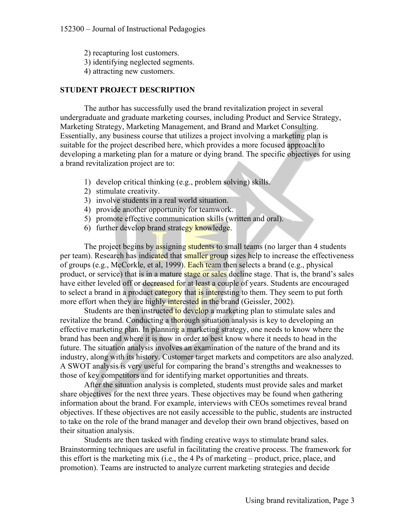2) recapturing lost customers. 3) identifying neglected segments. 4) attracting new customers.

## **STUDENT PROJECT DESCRIPTION**

The author has successfully used the brand revitalization project in several undergraduate and graduate marketing courses, including Product and Service Strategy, Marketing Strategy, Marketing Management, and Brand and Market Consulting. Essentially, any business course that utilizes a project involving a marketing plan is suitable for the project described here, which provides a more focused approach to developing a marketing plan for a mature or dying brand. The specific objectives for using a brand revitalization project are to:

- 1) develop critical thinking (e.g., problem solving) skills.
- 2) stimulate creativity.
- 3) involve students in a real world situation.
- 4) provide another opportunity for teamwork.
- 5) promote effective communication skills (written and oral).
- 6) further develop brand strategy knowledge.

The project begins by assigning students to small teams (no larger than 4 students per team). Research has indicated that smaller group sizes help to increase the effectiveness of groups (e.g., McCorkle, et al, 1999). Each team then selects a brand (e.g., physical product, or service) that is in a mature stage or sales decline stage. That is, the brand's sales have either leveled off or decreased for at least a couple of years. Students are encouraged to select a brand in a product category that is interesting to them. They seem to put forth more effort when they are highly interested in the brand (Geissler, 2002).

Students are then instructed to develop a marketing plan to stimulate sales and revitalize the brand. Conducting a thorough situation analysis is key to developing an effective marketing plan. In planning a marketing strategy, one needs to know where the brand has been and where it is now in order to best know where it needs to head in the future. The situation analysis involves an examination of the nature of the brand and its industry, along with its history. Customer target markets and competitors are also analyzed. A SWOT analysis is very useful for comparing the brand's strengths and weaknesses to those of key competitors and for identifying market opportunities and threats.

After the situation analysis is completed, students must provide sales and market share objectives for the next three years. These objectives may be found when gathering information about the brand. For example, interviews with CEOs sometimes reveal brand objectives. If these objectives are not easily accessible to the public, students are instructed to take on the role of the brand manager and develop their own brand objectives, based on their situation analysis.

Students are then tasked with finding creative ways to stimulate brand sales. Brainstorming techniques are useful in facilitating the creative process. The framework for this effort is the marketing mix (i.e., the 4 Ps of marketing – product, price, place, and promotion). Teams are instructed to analyze current marketing strategies and decide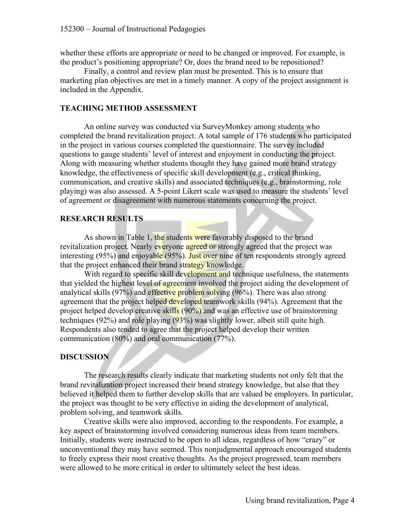whether these efforts are appropriate or need to be changed or improved. For example, is the product's positioning appropriate? Or, does the brand need to be repositioned?

Finally, a control and review plan must be presented. This is to ensure that marketing plan objectives are met in a timely manner. A copy of the project assignment is included in the Appendix.

### **TEACHING METHOD ASSESSMENT**

An online survey was conducted via SurveyMonkey among students who completed the brand revitalization project. A total sample of 176 students who participated in the project in various courses completed the questionnaire. The survey included questions to gauge students' level of interest and enjoyment in conducting the project. Along with measuring whether students thought they have gained more brand strategy knowledge, the effectiveness of specific skill development (e.g., critical thinking, communication, and creative skills) and associated techniques (e.g., brainstorming, role playing) was also assessed. A 5-point Likert scale was used to measure the students' level of agreement or disagreement with numerous statements concerning the project.

## **RESEARCH RESULTS**

As shown in Table 1, the students were favorably disposed to the brand revitalization project. Nearly everyone agreed or strongly agreed that the project was interesting (95%) and enjoyable (95%). Just over nine of ten respondents strongly agreed that the project enhanced their brand strategy knowledge.

With regard to specific skill development and technique usefulness, the statements that yielded the highest level of agreement involved the project aiding the development of analytical skills (97%) and effective problem solving (96%). There was also strong agreement that the project helped developed teamwork skills (94%). Agreement that the project helped develop creative skills (90%) and was an effective use of brainstorming techniques (92%) and role playing (93%) was slightly lower, albeit still quite high. Respondents also tended to agree that the project helped develop their written communication (80%) and oral communication (77%).

## **DISCUSSION**

The research results clearly indicate that marketing students not only felt that the brand revitalization project increased their brand strategy knowledge, but also that they believed it helped them to further develop skills that are valued be employers. In particular, the project was thought to be very effective in aiding the development of analytical, problem solving, and teamwork skills.

Creative skills were also improved, according to the respondents. For example, a key aspect of brainstorming involved considering numerous ideas from team members. Initially, students were instructed to be open to all ideas, regardless of how "crazy" or unconventional they may have seemed. This nonjudgmental approach encouraged students to freely express their most creative thoughts. As the project progressed, team members were allowed to be more critical in order to ultimately select the best ideas.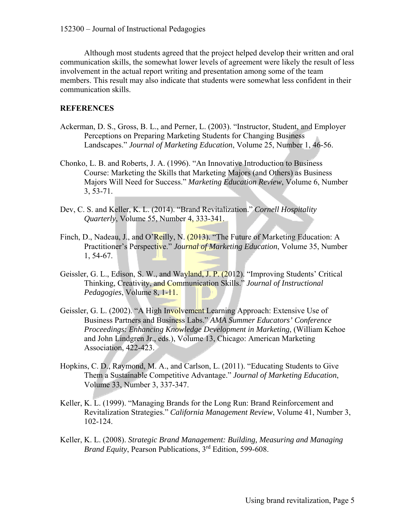Although most students agreed that the project helped develop their written and oral communication skills, the somewhat lower levels of agreement were likely the result of less involvement in the actual report writing and presentation among some of the team members. This result may also indicate that students were somewhat less confident in their communication skills.

### **REFERENCES**

- Ackerman, D. S., Gross, B. L., and Perner, L. (2003). "Instructor, Student, and Employer Perceptions on Preparing Marketing Students for Changing Business Landscapes." *Journal of Marketing Education*, Volume 25, Number 1, 46-56.
- Chonko, L. B. and Roberts, J. A. (1996). "An Innovative Introduction to Business Course: Marketing the Skills that Marketing Majors (and Others) as Business Majors Will Need for Success." *Marketing Education Review*, Volume 6, Number 3, 53-71.
- Dev, C. S. and Keller, K. L. (2014). "Brand Revitalization." *Cornell Hospitality Quarterly*, Volume 55, Number 4, 333-341.
- Finch, D., Nadeau, J., and O'Reilly, N. (2013). "The Future of Marketing Education: A Practitioner's Perspective." *Journal of Marketing Education*, Volume 35, Number 1, 54-67.
- Geissler, G. L., Edison, S. W., and Wayland, J. P. (2012). "Improving Students' Critical Thinking, Creativity, and Communication Skills." *Journal of Instructional Pedagogies*, Volume 8, 1-11.
- Geissler, G. L. (2002). "A High Involvement Learning Approach: Extensive Use of Business Partners and Business Labs." *AMA Summer Educators' Conference Proceedings: Enhancing Knowledge Development in Marketing*, (William Kehoe and John Lindgren Jr., eds.), Volume 13, Chicago: American Marketing Association, 422-423.
- Hopkins, C. D., Raymond, M. A., and Carlson, L. (2011). "Educating Students to Give Them a Sustainable Competitive Advantage." *Journal of Marketing Education*, Volume 33, Number 3, 337-347.
- Keller, K. L. (1999). "Managing Brands for the Long Run: Brand Reinforcement and Revitalization Strategies." *California Management Review*, Volume 41, Number 3, 102-124.
- Keller, K. L. (2008). *Strategic Brand Management: Building, Measuring and Managing Brand Equity*, Pearson Publications, 3<sup>rd</sup> Edition, 599-608.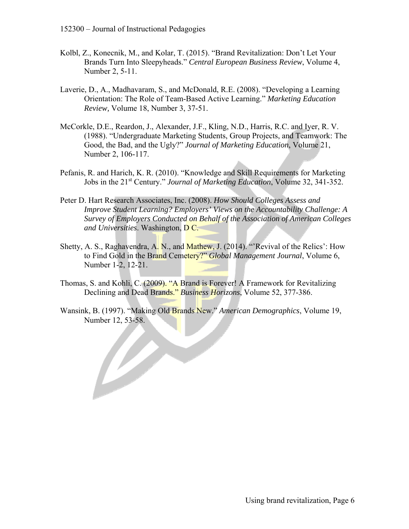B

- Kolbl, Z., Konecnik, M., and Kolar, T. (2015). "Brand Revitalization: Don't Let Your Brands Turn Into Sleepyheads." *Central European Business Review*, Volume 4, Number 2, 5-11.
- Laverie, D., A., Madhavaram, S., and McDonald, R.E. (2008). "Developing a Learning Orientation: The Role of Team-Based Active Learning." *Marketing Education Review,* Volume 18, Number 3, 37-51.
- McCorkle, D.E., Reardon, J., Alexander, J.F., Kling, N.D., Harris, R.C. and Iyer, R. V. (1988). "Undergraduate Marketing Students, Group Projects, and Teamwork: The Good, the Bad, and the Ugly?" *Journal of Marketing Education*, Volume 21, Number 2, 106-117.
- Pefanis, R. and Harich, K. R. (2010). "Knowledge and Skill Requirements for Marketing Jobs in the 21st Century." *Journal of Marketing Education*, Volume 32, 341-352.
- Peter D. Hart Research Associates, Inc. (2008). *How Should Colleges Assess and Improve Student Learning? Employers' Views on the Accountability Challenge: A Survey of Employers Conducted on Behalf of the Association of American Colleges and Universities*. Washington, D C.
- Shetty, A. S., Raghavendra, A. N., and Mathew, J. (2014). "'Revival of the Relics': How to Find Gold in the Brand Cemetery?" *Global Management Journal*, Volume 6, Number 1-2, 12-21.
- Thomas, S. and Kohli, C. (2009). "A Brand is Forever! A Framework for Revitalizing Declining and Dead Brands." *Business Horizons*, Volume 52, 377-386.
- Wansink, B. (1997). "Making Old Brands New." *American Demographics*, Volume 19, Number 12, 53-58.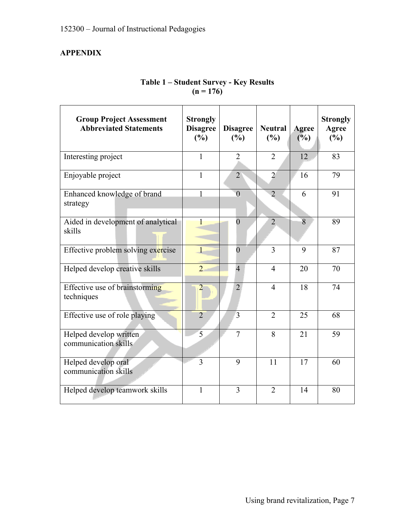## **APPENDIX**

| <b>Group Project Assessment</b><br><b>Abbreviated Statements</b> | <b>Strongly</b><br><b>Disagree</b><br>(%) | <b>Disagree</b><br>(%) | <b>Neutral</b><br>(%) | <b>Agree</b><br>(%) | <b>Strongly</b><br>Agree<br>(%) |
|------------------------------------------------------------------|-------------------------------------------|------------------------|-----------------------|---------------------|---------------------------------|
| Interesting project                                              | 1                                         | $\overline{2}$         | 2                     | 12                  | 83                              |
| Enjoyable project                                                | 1                                         | $\overline{2}$         | $\overline{2}$        | 16                  | 79                              |
| Enhanced knowledge of brand<br>strategy                          | $\mathbf{1}$                              | $\overline{0}$         | $\overline{2}$        | 6                   | 91                              |
| Aided in development of analytical<br>skills                     | 1                                         | $\overline{0}$         | $\overline{2}$        | 8                   | 89                              |
| Effective problem solving exercise                               | $\mathbf{1}$                              | $\overline{0}$         | 3                     | 9                   | 87                              |
| Helped develop creative skills                                   | $\overline{2}$                            | $\overline{4}$         | $\overline{4}$        | 20                  | 70                              |
| Effective use of brainstorming<br>techniques                     | $\overline{2}$                            | $\overline{2}$         | $\overline{4}$        | 18                  | 74                              |
| Effective use of role playing                                    | $\overline{2}$                            | $\overline{3}$         | $\overline{2}$        | 25                  | 68                              |
| Helped develop written<br>communication skills                   | 5                                         | $\overline{7}$         | 8                     | 21                  | 59                              |
| Helped develop oral<br>communication skills                      | $\overline{3}$                            | 9                      | 11                    | 17                  | 60                              |
| Helped develop teamwork skills                                   | $\mathbf{1}$                              | 3                      | $\overline{2}$        | 14                  | 80                              |

## **Table 1 – Student Survey - Key Results**   $(n = 176)$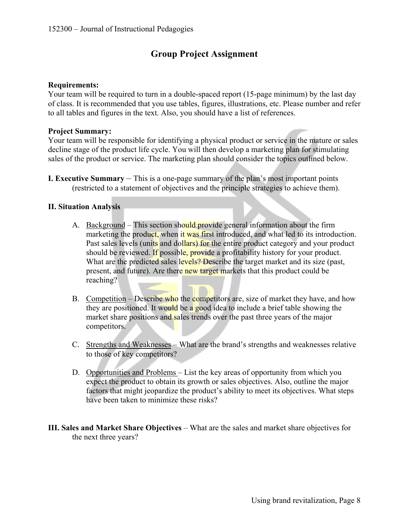## **Group Project Assignment**

#### **Requirements:**

Your team will be required to turn in a double-spaced report (15-page minimum) by the last day of class. It is recommended that you use tables, figures, illustrations, etc. Please number and refer to all tables and figures in the text. Also, you should have a list of references.

#### **Project Summary:**

Your team will be responsible for identifying a physical product or service in the mature or sales decline stage of the product life cycle. You will then develop a marketing plan for stimulating sales of the product or service. The marketing plan should consider the topics outlined below.

**I. Executive Summary** – This is a one-page summary of the plan's most important points (restricted to a statement of objectives and the principle strategies to achieve them).

### **II. Situation Analysis**

- A. Background This section should provide general information about the firm marketing the product, when it was first introduced, and what led to its introduction. Past sales levels (units and dollars) for the entire product category and your product should be reviewed. If possible, provide a profitability history for your product. What are the predicted sales levels? Describe the target market and its size (past, present, and future). Are there new target markets that this product could be reaching?
- B. Competition Describe who the competitors are, size of market they have, and how they are positioned. It would be a good idea to include a brief table showing the market share positions and sales trends over the past three years of the major competitors.
- C. Strengths and Weaknesses What are the brand's strengths and weaknesses relative to those of key competitors?
- D. Opportunities and Problems List the key areas of opportunity from which you expect the product to obtain its growth or sales objectives. Also, outline the major factors that might jeopardize the product's ability to meet its objectives. What steps have been taken to minimize these risks?
- **III. Sales and Market Share Objectives** What are the sales and market share objectives for the next three years?